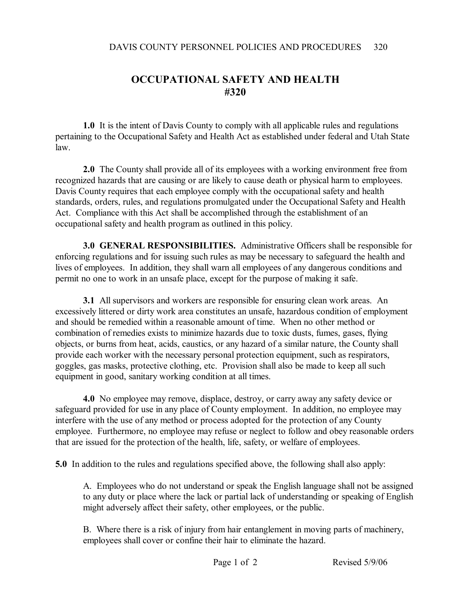## **OCCUPATIONAL SAFETY AND HEALTH #320**

**1.0** It is the intent of Davis County to comply with all applicable rules and regulations pertaining to the Occupational Safety and Health Act as established under federal and Utah State law.

**2.0** The County shall provide all of its employees with a working environment free from recognized hazards that are causing or are likely to cause death or physical harm to employees. Davis County requires that each employee comply with the occupational safety and health standards, orders, rules, and regulations promulgated under the Occupational Safety and Health Act. Compliance with this Act shall be accomplished through the establishment of an occupational safety and health program as outlined in this policy.

**3.0 GENERAL RESPONSIBILITIES.** Administrative Officers shall be responsible for enforcing regulations and for issuing such rules as may be necessary to safeguard the health and lives of employees. In addition, they shall warn all employees of any dangerous conditions and permit no one to work in an unsafe place, except for the purpose of making it safe.

**3.1** All supervisors and workers are responsible for ensuring clean work areas. An excessively littered or dirty work area constitutes an unsafe, hazardous condition of employment and should be remedied within a reasonable amount of time. When no other method or combination of remedies exists to minimize hazards due to toxic dusts, fumes, gases, flying objects, or burns from heat, acids, caustics, or any hazard of a similar nature, the County shall provide each worker with the necessary personal protection equipment, such as respirators, goggles, gas masks, protective clothing, etc. Provision shall also be made to keep all such equipment in good, sanitary working condition at all times.

**4.0** No employee may remove, displace, destroy, or carry away any safety device or safeguard provided for use in any place of County employment. In addition, no employee may interfere with the use of any method or process adopted for the protection of any County employee. Furthermore, no employee may refuse or neglect to follow and obey reasonable orders that are issued for the protection of the health, life, safety, or welfare of employees.

**5.0** In addition to the rules and regulations specified above, the following shall also apply:

A. Employees who do not understand or speak the English language shall not be assigned to any duty or place where the lack or partial lack of understanding or speaking of English might adversely affect their safety, other employees, or the public.

B. Where there is a risk of injury from hair entanglement in moving parts of machinery, employees shall cover or confine their hair to eliminate the hazard.